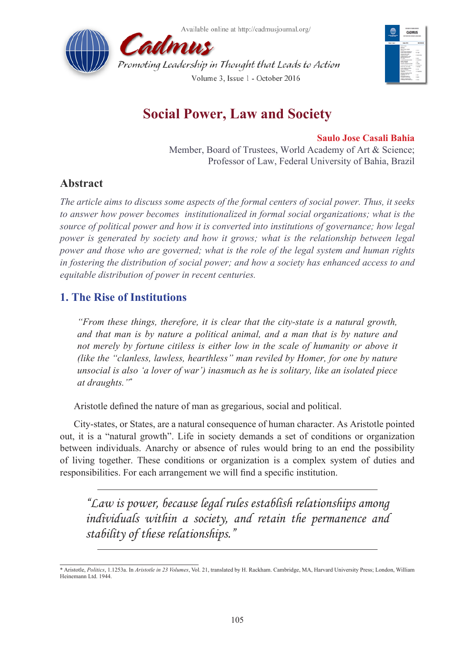



# **Social Power, Law and Society**

#### **Saulo Jose Casali Bahia**

Member, Board of Trustees, World Academy of Art & Science; Professor of Law, Federal University of Bahia, Brazil

## **Abstract**

*The article aims to discuss some aspects of the formal centers of social power. Thus, it seeks to answer how power becomes institutionalized in formal social organizations; what is the source of political power and how it is converted into institutions of governance; how legal power is generated by society and how it grows; what is the relationship between legal power and those who are governed; what is the role of the legal system and human rights in fostering the distribution of social power; and how a society has enhanced access to and equitable distribution of power in recent centuries.*

# **1. The Rise of Institutions**

*"From these things, therefore, it is clear that the city-state is a natural growth, and that man is by nature a political animal, and a man that is by nature and not merely by fortune citiless is either low in the scale of humanity or above it (like the "clanless, lawless, hearthless" man reviled by Homer, for one by nature unsocial is also 'a lover of war') inasmuch as he is solitary, like an isolated piece at draughts."*\*

Aristotle defined the nature of man as gregarious, social and political.

City-states, or States, are a natural consequence of human character. As Aristotle pointed out, it is a "natural growth". Life in society demands a set of conditions or organization between individuals. Anarchy or absence of rules would bring to an end the possibility of living together. These conditions or organization is a complex system of duties and responsibilities. For each arrangement we will find a specific institution.

*"Law is power, because legal rules establish relationships among individuals within a society, and retain the permanence and stability of these relationships."*

<sup>\*</sup> Aristotle, *Politics*, 1.1253a. In *Aristotle in 23 Volumes*, Vol. 21, translated by H. Rackham. Cambridge, MA, Harvard University Press; London, William Heinemann Ltd. 1944.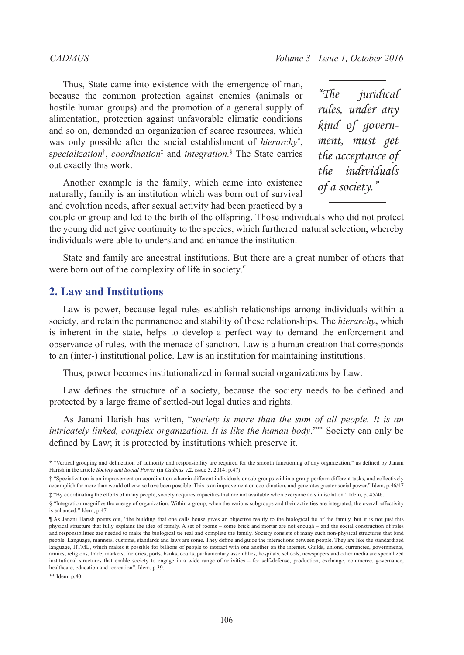Thus, State came into existence with the emergence of man, because the common protection against enemies (animals or hostile human groups) and the promotion of a general supply of alimentation, protection against unfavorable climatic conditions and so on, demanded an organization of scarce resources, which was only possible after the social establishment of *hierarchy*\* , s*pecialization*† , *coordination*‡ and *integration.*§ The State carries out exactly this work.

Another example is the family, which came into existence naturally; family is an institution which was born out of survival and evolution needs, after sexual activity had been practiced by a

*"The juridical rules, under any kind of government, must get the acceptance of the individuals of a society."*

couple or group and led to the birth of the offspring. Those individuals who did not protect the young did not give continuity to the species, which furthered natural selection, whereby individuals were able to understand and enhance the institution.

State and family are ancestral institutions. But there are a great number of others that were born out of the complexity of life in society.<sup>1</sup>

#### **2. Law and Institutions**

Law is power, because legal rules establish relationships among individuals within a society, and retain the permanence and stability of these relationships. The *hierarchy***,** which is inherent in the state**,** helps to develop a perfect way to demand the enforcement and observance of rules, with the menace of sanction. Law is a human creation that corresponds to an (inter-) institutional police. Law is an institution for maintaining institutions.

Thus, power becomes institutionalized in formal social organizations by Law.

Law defines the structure of a society, because the society needs to be defined and protected by a large frame of settled-out legal duties and rights.

As Janani Harish has written, "*society is more than the sum of all people. It is an intricately linked, complex organization. It is like the human body*."\*\* Society can only be defined by Law; it is protected by institutions which preserve it.

<sup>\* &</sup>quot;Vertical grouping and delineation of authority and responsibility are required for the smooth functioning of any organization," as defined by Janani Harish in the article *Society and Social Power* (in *Cadmus* v.2, issue 3, 2014: p.47).

<sup>† &</sup>quot;Specialization is an improvement on coordination wherein different individuals or sub-groups within a group perform different tasks, and collectively accomplish far more than would otherwise have been possible. This is an improvement on coordination, and generates greater social power." Idem, p.46/47 ‡ "By coordinating the efforts of many people, society acquires capacities that are not available when everyone acts in isolation." Idem, p. 45/46.

<sup>§ &</sup>quot;Integration magnifies the energy of organization. Within a group, when the various subgroups and their activities are integrated, the overall effectivity is enhanced." Idem, p.47.

<sup>¶</sup> As Janani Harish points out, "the building that one calls house gives an objective reality to the biological tie of the family, but it is not just this physical structure that fully explains the idea of family. A set of rooms – some brick and mortar are not enough – and the social construction of roles and responsibilities are needed to make the biological tie real and complete the family. Society consists of many such non-physical structures that bind people. Language, manners, customs, standards and laws are some. They define and guide the interactions between people. They are like the standardized language, HTML, which makes it possible for billions of people to interact with one another on the internet. Guilds, unions, currencies, governments, armies, religions, trade, markets, factories, ports, banks, courts, parliamentary assemblies, hospitals, schools, newspapers and other media are specialized institutional structures that enable society to engage in a wide range of activities – for self-defense, production, exchange, commerce, governance, healthcare, education and recreation". Idem, p.39.

<sup>\*\*</sup> Idem, p.40.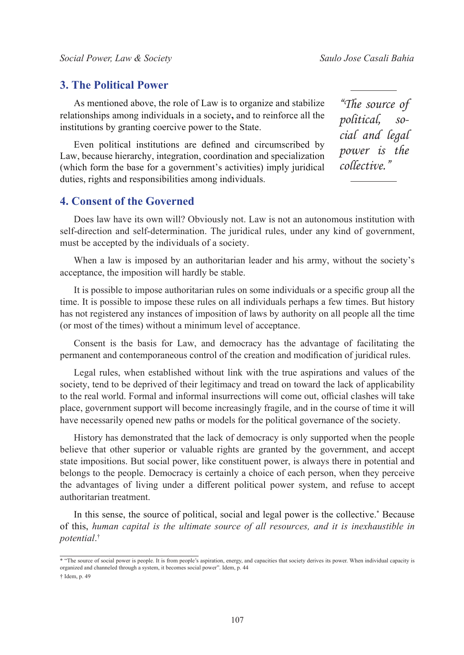#### **3. The Political Power**

As mentioned above, the role of Law is to organize and stabilize relationships among individuals in a society**,** and to reinforce all the institutions by granting coercive power to the State.

Even political institutions are defined and circumscribed by Law, because hierarchy, integration, coordination and specialization (which form the base for a government's activities) imply juridical duties, rights and responsibilities among individuals.

### **4. Consent of the Governed**

Does law have its own will? Obviously not. Law is not an autonomous institution with self-direction and self-determination. The juridical rules, under any kind of government, must be accepted by the individuals of a society.

When a law is imposed by an authoritarian leader and his army, without the society's acceptance, the imposition will hardly be stable.

It is possible to impose authoritarian rules on some individuals or a specific group all the time. It is possible to impose these rules on all individuals perhaps a few times. But history has not registered any instances of imposition of laws by authority on all people all the time (or most of the times) without a minimum level of acceptance.

Consent is the basis for Law, and democracy has the advantage of facilitating the permanent and contemporaneous control of the creation and modification of juridical rules.

Legal rules, when established without link with the true aspirations and values of the society, tend to be deprived of their legitimacy and tread on toward the lack of applicability to the real world. Formal and informal insurrections will come out, official clashes will take place, government support will become increasingly fragile, and in the course of time it will have necessarily opened new paths or models for the political governance of the society.

History has demonstrated that the lack of democracy is only supported when the people believe that other superior or valuable rights are granted by the government, and accept state impositions. But social power, like constituent power, is always there in potential and belongs to the people. Democracy is certainly a choice of each person, when they perceive the advantages of living under a different political power system, and refuse to accept authoritarian treatment.

In this sense, the source of political, social and legal power is the collective.\* Because of this, *human capital is the ultimate source of all resources, and it is inexhaustible in potential*. †

*"The source of political, social and legal power is the collective."*

<sup>\* &</sup>quot;The source of social power is people. It is from people's aspiration, energy, and capacities that society derives its power. When individual capacity is organized and channeled through a system, it becomes social power". Idem, p. 44

<sup>†</sup> Idem, p. 49